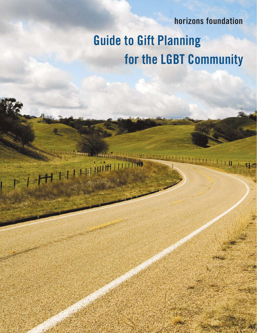**horizons foundation**

# **Guide to Gift Planning for the LGBT Community**

**LETTERHOND** 

ma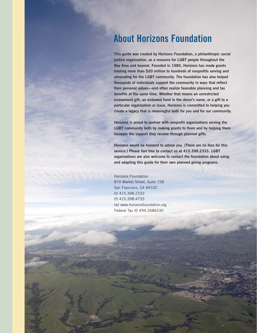## **About Horizons Foundation**

**This guide was created by Horizons Foundation, a philanthropic social justice organization, as a resource for LGBT people throughout the Bay Area and beyond. Founded in 1980, Horizons has made grants totaling more than \$20 million to hundreds of nonprofits serving and advocating for the LGBT community. The foundation has also helped thousands of individuals support the community in ways that reflect their personal values—and often realize favorable planning and tax benefits at the same time. Whether that means an unrestricted endowment gift, an endowed fund in the donor's name, or a gift to a particular organization or issue, Horizons is committed to helping you create a legacy that is meaningful both for you and for our community.**

**Horizons is proud to partner with nonprofit organizations serving the LGBT community both by making grants to them and by helping them increase the support they receive through planned gifts.**

**Horizons would be honored to advise you. (There are no fees for this service.) Please feel free to contact us at 415.398.2333. LGBT organizations are also welcome to contact the foundation about using and adapting this guide for their own planned giving programs.**

Horizons Foundation 870 Market Street, Suite 728 San Francisco, CA 94102 (t) 415.398.2333 (f) 415.398.4733 (w) www.horizonsfoundation.org Federal Tax ID #94-2686530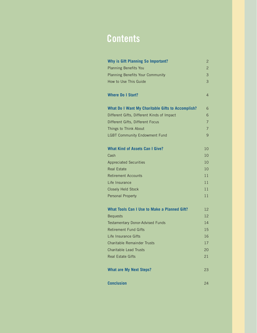## **Contents**

| <b>Why is Gift Planning So Important?</b>         | 2              |
|---------------------------------------------------|----------------|
| <b>Planning Benefits You</b>                      | $\overline{2}$ |
| Planning Benefits Your Community                  | 3              |
| How to Use This Guide                             | 3              |
| <b>Where Do I Start?</b>                          | 4              |
|                                                   |                |
| What Do I Want My Charitable Gifts to Accomplish? | 6              |
| Different Gifts, Different Kinds of Impact        | 6              |
| Different Gifts, Different Focus                  | $\overline{7}$ |
| Things to Think About                             | $\overline{7}$ |
| <b>LGBT Community Endowment Fund</b>              | 9              |
|                                                   |                |
| <b>What Kind of Assets Can I Give?</b>            | 10             |
| Cash                                              | 10             |
| <b>Appreciated Securities</b>                     | 10             |
| <b>Real Estate</b>                                | 10             |
| <b>Retirement Accounts</b>                        | 11             |
| Life Insurance                                    | 11             |
| <b>Closely Held Stock</b>                         | 11             |
| <b>Personal Property</b>                          | 11             |
| What Tools Can I Use to Make a Planned Gift?      | 12             |
| <b>Bequests</b>                                   | 12             |
| <b>Testamentary Donor-Advised Funds</b>           | 14             |
| <b>Retirement Fund Gifts</b>                      | 15             |
| Life Insurance Gifts                              | 16             |
| <b>Charitable Remainder Trusts</b>                | 17             |
| <b>Charitable Lead Trusts</b>                     | 20             |
| <b>Real Estate Gifts</b>                          | 21             |
| <b>What are My Next Steps?</b>                    | 23             |
| <b>Conclusion</b>                                 | 24             |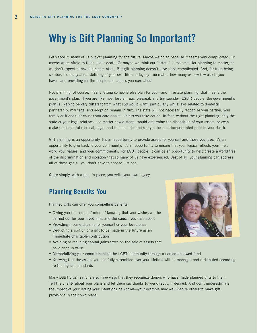## **Why is Gift Planning So Important?**

Let's face it: many of us put off planning for the future. Maybe we do so because it seems very complicated. Or maybe we're afraid to think about death. Or maybe we think our "estate" is too small for planning to matter, or we don't expect to have an estate at all. But gift planning doesn't have to be complicated. And, far from being somber, it's really about defining of your own life and legacy—no matter how many or how few assets you have—and providing for the people and causes you care about

Not planning, of course, means letting someone else plan for you—and in estate planning, that means the government's plan. If you are like most lesbian, gay, bisexual, and transgender (LGBT) people, the government's plan is likely to be very different from what you would want, particularly while laws related to domestic partnership, marriage, and adoption remain in flux. The state will not necessarily recognize your partner, your family or friends, or causes you care about—unless you take action. In fact, without the right planning, only the state or your legal relatives—no matter how distant—would determine the disposition of your assets, or even make fundamental medical, legal, and financial decisions if you become incapacitated prior to your death.

Gift planning is an opportunity. It's an opportunity to provide assets for yourself and those you love. It's an opportunity to give back to your community. It's an opportunity to ensure that your legacy reflects your life's work, your values, and your commitments. For LGBT people, it can be an opportunity to help create a world free of the discrimination and isolation that so many of us have experienced. Best of all, your planning can address all of these goals—you don't have to choose just one.

Quite simply, with a plan in place, you write your own legacy.

## **Planning Benefits You**

Planned gifts can offer you compelling benefits:

- Giving you the peace of mind of knowing that your wishes will be carried out for your loved ones and the causes you care about
- Providing income streams for yourself or your loved ones
- Deducting a portion of a gift to be made in the future as an immediate charitable contribution
- Avoiding or reducing capital gains taxes on the sale of assets that have risen in value
- Memorializing your commitment to the LGBT community through a named endowed fund
- Knowing that the assets you carefully assembled over your lifetime will be managed and distributed according to the highest standards

Many LGBT organizations also have ways that they recognize donors who have made planned gifts to them. Tell the charity about your plans and let them say thanks to you directly, if desired. And don't underestimate the impact of your letting your intentions be known—your example may well inspire others to make gift provisions in their own plans.

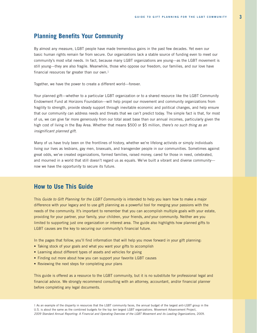## **Planning Benefits Your Community**

By almost any measure, LGBT people have made tremendous gains in the past few decades. Yet even our basic human rights remain far from secure. Our organizations lack a stable source of funding even to meet our community's most vital needs. In fact, because many LGBT organizations are young—as the LGBT movement is still young—they are also fragile. Meanwhile, those who oppose our freedom, our families, and our love have financial resources far greater than our own.1

Together, we have the power to create a different world—forever.

Your planned gift—whether to a particular LGBT organization or to a shared resource like the LGBT Community Endowment Fund at Horizons Foundation—will help propel our movement and community organizations from fragility to strength, provide steady support through inevitable economic and political changes, and help ensure that our community can address needs and threats that we can't predict today. The simple fact is that, for most of us, we can give far more generously from our total asset base than our annual incomes, particularly given the high cost of living in the Bay Area. Whether that means \$500 or \$5 million, there's no such thing as an insignificant planned gift.

Many of us have truly been on the frontlines of history, whether we're lifelong activists or simply individuals living our lives as lesbians, gay men, bisexuals, and transgender people in our communities. Sometimes against great odds, we've created organizations, formed families, raised money, cared for those in need, celebrated, and mourned in a world that still doesn't regard us as equals. We've built a vibrant and diverse communitynow we have the opportunity to secure its future.

## **How to Use This Guide**

This Guide to Gift Planning for the LGBT Community is intended to help you learn how to make a major difference with your legacy and to use gift planning as a powerful tool for merging your passions with the needs of the community. It's important to remember that you can accomplish multiple goals with your estate, providing for your partner, your family, your children, your friends, and your community. Neither are you limited to supporting just one organization or interest area. The guide also highlights how planned gifts to LGBT causes are the key to securing our community's financial future.

In the pages that follow, you'll find information that will help you move forward in your gift planning:

- Taking stock of your goals and what you want your gifts to accomplish
- Learning about different types of assets and vehicles for giving
- Finding out more about how you can support your favorite LGBT causes
- Reviewing the next steps for completing your plans

This guide is offered as a resource to the LGBT community, but it is no substitute for professional legal and financial advice. We strongly recommend consulting with an attorney, accountant, and/or financial planner before completing any legal documents.

1 As an example of the disparity in resources that the LGBT community faces, the annual budget of the largest anti-LGBT group in the U.S. is about the same as the combined budgets for the top ten largest LGBT organizations. Movement Advancement Project, 2009 Standard Annual Reporting: A Financial and Operating Overview of the LGBT Movement and its Leading Organizations, 2009.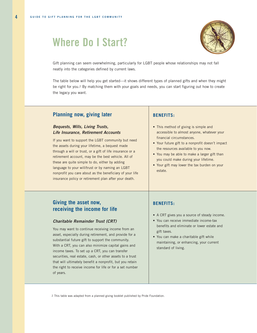## **Where Do I Start?**



Gift planning can seem overwhelming, particularly for LGBT people whose relationships may not fall neatly into the categories defined by current laws.

The table below will help you get started—it shows different types of planned gifts and when they might be right for you.<sup>2</sup> By matching them with your goals and needs, you can start figuring out how to create the legacy you want.

## **Planning now, giving later**

### **Bequests, Wills, Living Trusts, Life Insurance, Retirement Accounts**

If you want to support the LGBT community but need the assets during your lifetime, a bequest made through a will or trust, or a gift of life insurance or a retirement account, may be the best vehicle. All of these are quite simple to do, either by adding language to your will/trust or by naming an LGBT nonprofit you care about as the beneficiary of your life insurance policy or retirement plan after your death.

## **BENEFITS:**

- This method of giving is simple and accessible to almost anyone, whatever your financial circumstances.
- Your future gift to a nonprofit doesn't impact the resources available to you now.
- You may be able to make a larger gift than you could make during your lifetime.
- Your gift may lower the tax burden on your estate.

## **Giving the asset now, receiving the income for life**

#### **Charitable Remainder Trust (CRT)**

You may want to continue receiving income from an asset, especially during retirement, and provide for a substantial future gift to support the community. With a CRT, you can also minimize capital gains and income taxes. To set up a CRT, you can transfer securities, real estate, cash, or other assets to a trust that will ultimately benefit a nonprofit, but you retain the right to receive income for life or for a set number of years.

### **BENEFITS:**

- A CRT gives you a source of steady income.
- You can receive immediate income-tax benefits and eliminate or lower estate and gift taxes.
- You can make a charitable gift while maintaining, or enhancing, your current standard of living.

2 This table was adapted from a planned giving booklet published by Pride Foundation.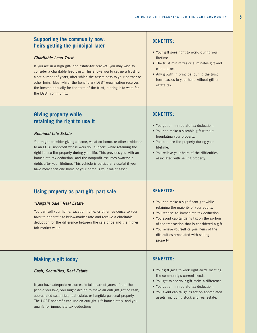## **Supporting the community now, heirs getting the principal later**

### **Charitable Lead Trust**

If you are in a high gift- and estate-tax bracket, you may wish to consider a charitable lead trust. This allows you to set up a trust for a set number of years, after which the assets pass to your partner or other heirs. Meanwhile, the beneficiary LGBT organization receives the income annually for the term of the trust, putting it to work for the LGBT community.

## **Giving property while retaining the right to use it**

#### **Retained Life Estate**

You might consider giving a home, vacation home, or other residence to an LGBT nonprofit whose work you support, while retaining the right to use the property during your life. This provides you with an immediate tax deduction, and the nonprofit assumes ownership rights after your lifetime. This vehicle is particularly useful if you have more than one home or your home is your major asset.

## **Using property as part gift, part sale**

#### **"Bargain Sale" Real Estate**

You can sell your home, vacation home, or other residence to your favorite nonprofit at below-market rate and receive a charitable deduction for the difference between the sale price and the higher fair market value.

## **Making a gift today**

#### **Cash, Securities, Real Estate**

If you have adequate resources to take care of yourself and the people you love, you might decide to make an outright gift of cash, appreciated securities, real estate, or tangible personal property. The LGBT nonprofit can use an outright gift immediately, and you qualify for immediate tax deductions.

### **BENEFITS:**

- Your gift goes right to work, during your lifetime.
- The trust minimizes or eliminates gift and estate taxes.
- Any growth in principal during the trust term passes to your heirs without gift or estate tax.

### **BENEFITS:**

- You get an immediate tax deduction.
- You can make a sizeable gift without liquidating your property.
- You can use the property during your lifetime.
- You relieve your heirs of the difficulties associated with selling property.

### **BENEFITS:**

- You can make a significant gift while retaining the majority of your equity.
- You receive an immediate tax deduction.
- You avoid capital gains tax on the portion of the transaction that is considered a gift.
- You relieve yourself or your heirs of the difficulties associated with selling property.

### **BENEFITS:**

- Your gift goes to work right away, meeting the community's current needs.
- You get to see your gift make a difference.
- You get an immediate tax deduction.
- You avoid capital gains tax on appreciated assets, including stock and real estate.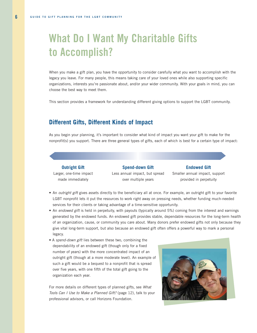## **What Do I Want My Charitable Gifts to Accomplish?**

When you make a gift plan, you have the opportunity to consider carefully what you want to accomplish with the legacy you leave. For many people, this means taking care of your loved ones while also supporting specific organizations, interests you're passionate about, and/or your wider community. With your goals in mind, you can choose the best way to meet them.

This section provides a framework for understanding different giving options to support the LGBT community.

## **Different Gifts, Different Kinds of Impact**

As you begin your planning, it's important to consider what kind of impact you want your gift to make for the nonprofit(s) you support. There are three general types of gifts, each of which is best for a certain type of impact:

## **Outright Gift**

Larger, one-time impact made immediately

**Spend-down Gift** Less annual impact, but spread over multiple years

### **Endowed Gift** Smaller annual impact, support provided in perpetuity

- An *outright gift* gives assets directly to the beneficiary all at once. For example, an outright gift to your favorite LGBT nonprofit lets it put the resources to work right away on pressing needs, whether funding much-needed services for their clients or taking advantage of a time-sensitive opportunity.
- An endowed gift is held in perpetuity, with payouts (typically around 5%) coming from the interest and earnings generated by the endowed funds. An endowed gift provides stable, dependable resources for the long-term health of an organization, cause, or community you care about. Many donors prefer endowed gifts not only because they give vital long-term support, but also because an endowed gift often offers a powerful way to mark a personal legacy.
- A spend-down gift lies between these two, combining the dependability of an endowed gift (though only for a fixed number of years) with the more concentrated impact of an outright gift (though at a more moderate level). An example of such a gift would be a bequest to a nonprofit that is spread over five years, with one fifth of the total gift going to the organization each year.

For more details on different types of planned gifts, see What Tools Can I Use to Make a Planned Gift? (page 12), talk to your professional advisors, or call Horizons Foundation.

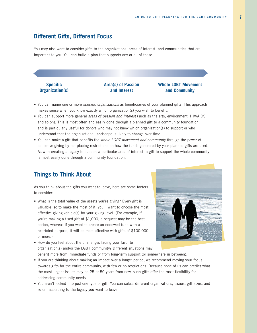## **Different Gifts, Different Focus**

You may also want to consider gifts to the organizations, areas of interest, and communities that are important to you. You can build a plan that supports any or all of these.

**Specific Organization(s)** **Area(s) of Passion and Interest**

### **Whole LGBT Movement and Community**

- You can name one or more *specific organizations* as beneficiaries of your planned gifts. This approach makes sense when you know exactly which organization(s) you wish to benefit.
- You can support more general *areas of passion and interest* (such as the arts, environment, HIV/AIDS, and so on). This is most often and easily done through a planned gift to a community foundation, and is particularly useful for donors who may not know which organization(s) to support or who understand that the organizational landscape is likely to change over time.
- You can make a gift that benefits the whole LGBT movement and community through the power of collective giving by not placing restrictions on how the funds generated by your planned gifts are used. As with creating a legacy to support a particular area of interest, a gift to support the whole community is most easily done through a community foundation.

## **Things to Think About**

As you think about the gifts you want to leave, here are some factors to consider:

• What is the total value of the assets you're giving? Every gift is valuable, so to make the most of it, you'll want to choose the most effective giving vehicle(s) for your giving level. (For example, if you're making a fixed gift of \$1,000, a bequest may be the best option, whereas if you want to create an endowed fund with a restricted purpose, it will be most effective with gifts of \$100,000 or more.)



- How do you feel about the challenges facing your favorite organization(s) and/or the LGBT community? Different situations may benefit more from immediate funds or from long-term support (or somewhere in between).
- If you are thinking about making an impact over a longer period, we recommend moving your focus towards gifts for the entire community, with few or no restrictions. Because none of us can predict what the most urgent issues may be 25 or 50 years from now, such gifts offer the most flexibility for addressing community needs.
- You aren't locked into just one type of gift. You can select different organizations, issues, gift sizes, and so on, according to the legacy you want to leave.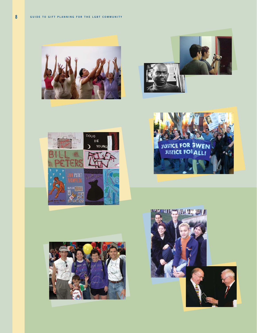









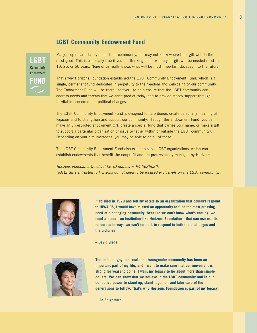## **LGBT Community Endowment Fund**

**LGBT Community** Endowment **FUND** Many people care deeply about their community, but may not know where their gift will do the most good. This is especially true if you are thinking about where your gift will be needed most in 10, 25, or 50 years. None of us really knows what will be most important decades into the future.

That's why Horizons Foundation established the LGBT Community Endowment Fund, which is a single, permanent fund dedicated in perpetuity to the freedom and well-being of our community. The Endowment Fund will be there—forever—to help ensure that the LGBT community can address needs and threats that we can't predict today, and to provide steady support through inevitable economic and political changes.

The LGBT Community Endowment Fund is designed to help donors create personally meaningful legacies and to strengthen and support our community. Through the Endowment Fund, you can make an unrestricted endowment gift, create a special fund that carries your name, or make a gift to support a particular organization or issue (whether within or outside the LGBT community). Depending on your circumstances, you may be able to do all of these.

The LGBT Community Endowment Fund also exists to serve LGBT organizations, which can establish endowments that benefit the nonprofit and are professionally managed by Horizons.

Horizons Foundation's federal tax ID number is 94-2686530. NOTE: Gifts entrusted to Horizons do not need to be focused exclusively on the LGBT community.



**If I'd died in 1979 and left my estate to an organization that couldn't respond to HIV/AIDS, I would have missed an opportunity to fund the most pressing need of a changing community. Because we can't know what's coming, we need a place—an institution like Horizons Foundation—that can use use its resources in ways we can't foretell, to respond to both the challenges and the victories.**

**– David Gleba** 



**The lesbian, gay, bisexual, and transgender community has been an important part of my life, and I want to make sure that our movement is strong for years to come. I want my legacy to be about more than simple dollars. We can show that we believe in the LGBT community and in our collective power to stand up, stand together, and take care of the generations to follow. That's why Horizons Foundation is part of my legacy.**

**– Lia Shigemura**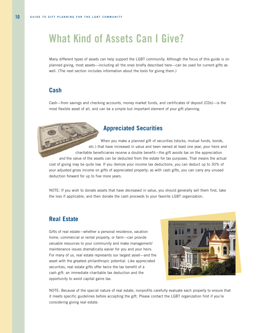## **What Kind of Assets Can I Give?**

Many different types of assets can help support the LGBT community. Although the focus of this guide is on planned giving, most assets—including all the ones briefly described here—can be used for current gifts as well. (The next section includes information about the tools for giving them.)

## **Cash**

Cash—from savings and checking accounts, money market funds, and certificates of deposit (CDs)—is the most flexible asset of all, and can be a simple but important element of your gift planning.

## **Appreciated Securities**

When you make a planned gift of securities (stocks, mutual funds, bonds, etc.) that have increased in value and been owned at least one year, your heirs and charitable beneficiaries receive a double benefit—the gift avoids tax on the appreciation and the value of the assets can be deducted from the estate for tax purposes. That means the actual cost of giving may be quite low. If you itemize your income tax deductions, you can deduct up to 30% of your adjusted gross income on gifts of appreciated property; as with cash gifts, you can carry any unused deduction forward for up to five more years.

NOTE: If you wish to donate assets that have decreased in value, you should generally sell them first, take the loss if applicable, and then donate the cash proceeds to your favorite LGBT organization.

## **Real Estate**

Gifts of real estate—whether a personal residence, vacation home, commercial or rental property, or farm—can provide valuable resources to your community and make management/ maintenance issues dramatically easier for you and your heirs. For many of us, real estate represents our largest asset—and the asset with the greatest philanthropic potential. Like appreciated securities, real estate gifts offer twice the tax benefit of a cash gift: an immediate charitable tax deduction and the opportunity to avoid capital gains tax.



NOTE: Because of the special nature of real estate, nonprofits carefully evaluate each property to ensure that it meets specific guidelines before accepting the gift. Please contact the LGBT organization first if you're considering giving real estate.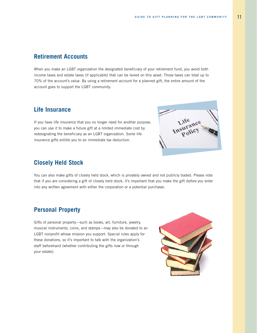## **Retirement Accounts**

When you make an LGBT organization the designated beneficiary of your retirement fund, you avoid both income taxes and estate taxes (if applicable) that can be levied on this asset. Those taxes can total up to 70% of the account's value. By using a retirement account for a planned gift, the entire amount of the account goes to support the LGBT community.

## **Life Insurance**

If you have life insurance that you no longer need for another purpose, you can use it to make a future gift at a limited immediate cost by redesignating the beneficiary as an LGBT organization. Some life insurance gifts entitle you to an immediate tax deduction.

## **Closely Held Stock**

You can also make gifts of closely held stock, which is privately owned and not publicly traded. Please note that if you are considering a gift of closely held stock, it's important that you make the gift before you enter into any written agreement with either the corporation or a potential purchaser.

## **Personal Property**

Gifts of personal property—such as books, art, furniture, jewelry, musical instruments, coins, and stamps—may also be donated to an LGBT nonprofit whose mission you support. Special rules apply for these donations, so it's important to talk with the organization's staff beforehand (whether contributing the gifts now or through your estate).

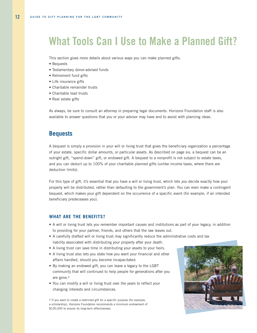## **What Tools Can I Use to Make a Planned Gift?**

This section gives more details about various ways you can make planned gifts:

- Bequests
- Testamentary donor-advised funds
- Retirement fund gifts
- Life insurance gifts
- Charitable remainder trusts
- Charitable lead trusts
- Real estate gifts

As always, be sure to consult an attorney in preparing legal documents. Horizons Foundation staff is also available to answer questions that you or your advisor may have and to assist with planning ideas.

## **Bequests**

A bequest is simply a provision in your will or living trust that gives the beneficiary organization a percentage of your estate, specific dollar amounts, or particular assets. As described on page six, a bequest can be an outright gift, "spend-down" gift, or endowed gift. A bequest to a nonprofit is not subject to estate taxes, and you can deduct up to 100% of your charitable planned gifts (unlike income taxes, where there are deduction limits).

For this type of gift, it's essential that you have a will or living trust, which lets you decide exactly how your property will be distributed, rather than defaulting to the government's plan. You can even make a contingent bequest, which makes your gift dependent on the occurrence of a specific event (for example, if an intended beneficiary predeceases you).

### **WHAT ARE THE BENEFITS?**

- A will or living trust lets you remember important causes and institutions as part of your legacy, in addition to providing for your partner, friends, and others that the law leaves out.
- A carefully drafted will or living trust may significantly reduce the administrative costs and tax liability associated with distributing your property after your death.
- A living trust can save time in distributing your assets to your heirs.
- A living trust also lets you state how you want your financial and other affairs handled, should you become incapacitated.
- By making an endowed gift, you can leave a legacy to the LGBT community that will continued to help people for generations after you are gone.3
- You can modify a will or living trust over the years to reflect your changing interests and circumstances.

3 If you want to create a restricted gift for a specific purpose (for example, a scholarship), Horizons Foundation recommends a minimum endowment of \$100,000 to ensure its long-term effectiveness.

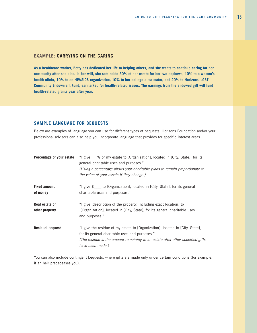### **EXAMPLE: CARRYING ON THE CARING**

**As a healthcare worker, Betty has dedicated her life to helping others, and she wants to continue caring for her community after she dies. In her will, she sets aside 50% of her estate for her two nephews, 10% to a women's health clinic, 10% to an HIV/AIDS organization, 10% to her college alma mater, and 20% to Horizons' LGBT Community Endowment Fund, earmarked for health-related issues. The earnings from the endowed gift will fund health-related grants year after year.**

### **SAMPLE LANGUAGE FOR BEQUESTS**

Below are examples of language you can use for different types of bequests. Horizons Foundation and/or your professional advisors can also help you incorporate language that provides for specific interest areas.

| Percentage of your estate | "I give __% of my estate to [Organization], located in [City, State], for its<br>general charitable uses and purposes."<br>(Using a percentage allows your charitable plans to remain proportionate to<br>the value of your assets if they change.) |
|---------------------------|-----------------------------------------------------------------------------------------------------------------------------------------------------------------------------------------------------------------------------------------------------|
| <b>Fixed amount</b>       | "I give \$____ to [Organization], located in [City, State], for its general                                                                                                                                                                         |
| of money                  | charitable uses and purposes."                                                                                                                                                                                                                      |
| Real estate or            | "I give [description of the property, including exact location] to                                                                                                                                                                                  |
| other property            | [Organization], located in [City, State], for its general charitable uses<br>and purposes."                                                                                                                                                         |
| <b>Residual bequest</b>   | "I give the residue of my estate to [Organization], located in [City, State],                                                                                                                                                                       |
|                           | for its general charitable uses and purposes."                                                                                                                                                                                                      |
|                           | (The residue is the amount remaining in an estate after other specified gifts                                                                                                                                                                       |
|                           | have been made.)                                                                                                                                                                                                                                    |

You can also include contingent bequests, where gifts are made only under certain conditions (for example, if an heir predeceases you).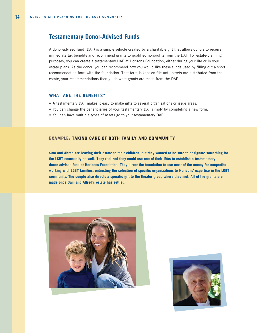## **Testamentary Donor-Advised Funds**

A donor-advised fund (DAF) is a simple vehicle created by a charitable gift that allows donors to receive immediate tax benefits and recommend grants to qualified nonprofits from the DAF. For estate-planning purposes, you can create a testamentary DAF at Horizons Foundation, either during your life or in your estate plans. As the donor, you can recommend how you would like these funds used by filling out a short recommendation form with the foundation. That form is kept on file until assets are distributed from the estate; your recommendations then guide what grants are made from the DAF.

### **WHAT ARE THE BENEFITS?**

- A testamentary DAF makes it easy to make gifts to several organizations or issue areas.
- You can change the beneficiaries of your testamentary DAF simply by completing a new form.
- You can have multiple types of assets go to your testamentary DAF.

### **EXAMPLE: TAKING CARE OF BOTH FAMILY AND COMMUNITY**

**Sam and Alfred are leaving their estate to their children, but they wanted to be sure to designate something for the LGBT community as well. They realized they could use one of their IRAs to establish a testamentary donor-advised fund at Horizons Foundation. They direct the foundation to use most of the money for nonprofits working with LGBT families, entrusting the selection of specific organizations to Horizons' expertise in the LGBT community. The couple also directs a specific gift to the theater group where they met. All of the grants are made once Sam and Alfred's estate has settled.** 



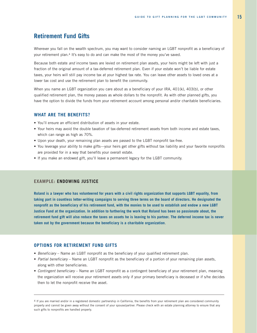## **Retirement Fund Gifts**

Wherever you fall on the wealth spectrum, you may want to consider naming an LGBT nonprofit as a beneficiary of your retirement plan.4 It's easy to do and can make the most of the money you've saved.

Because both estate *and* income taxes are levied on retirement plan assets, your heirs might be left with just a fraction of the original amount of a tax-deferred retirement plan. Even if your estate won't be liable for estate taxes, your heirs will still pay income tax at your highest tax rate. You can leave other assets to loved ones at a lower tax cost and use the retirement plan to benefit the community.

When you name an LGBT organization you care about as a beneficiary of your IRA, 401(k), 403(b), or other qualified retirement plan, the money passes as whole dollars to the nonprofit. As with other planned gifts, you have the option to divide the funds from your retirement account among personal and/or charitable beneficiaries.

#### **WHAT ARE THE BENEFITS?**

- You'll ensure an efficient distribution of assets in your estate.
- Your heirs may avoid the double taxation of tax-deferred retirement assets from both income and estate taxes, which can range as high as 70%.
- Upon your death, your remaining plan assets are passed to the LGBT nonprofit tax-free.
- You leverage your ability to make gifts—your heirs get other gifts without tax liability and your favorite nonprofits are provided for in a way that benefits your overall estate.
- If you make an endowed gift, you'll leave a permanent legacy for the LGBT community.

### **EXAMPLE: ENDOWING JUSTICE**

**Roland is a lawyer who has volunteered for years with a civil rights organization that supports LGBT equality, from taking part in countless letter-writing campaigns to serving three terms on the board of directors. He designated the nonprofit as the beneficiary of his retirement fund, with the monies to be used to establish and endow a new LGBT Justice Fund at the organization. In addition to furthering the work that Roland has been so passionate about, the retirement fund gift will also reduce the taxes on assets he is leaving to his partner. The deferred income tax is never taken out by the government because the beneficiary is a charitable organization**.

### **OPTIONS FOR RETIREMENT FUND GIFTS**

- Beneficiary Name an LGBT nonprofit as the beneficiary of your qualified retirement plan.
- Partial beneficiary Name an LGBT nonprofit as the beneficiary of a portion of your remaining plan assets, along with other beneficiaries.
- Contingent beneficiary Name an LGBT nonprofit as a contingent beneficiary of your retirement plan, meaning the organization will receive your retirement assets only if your primary beneficiary is deceased or if s/he decides then to let the nonprofit receive the asset.

4 If you are married and/or in a registered domestic partnership in California, the benefits from your retirement plan are considered community property and cannot be given away without the consent of your spouse/partner. Please check with an estate planning attorney to ensure that any such gifts to nonprofits are handled properly.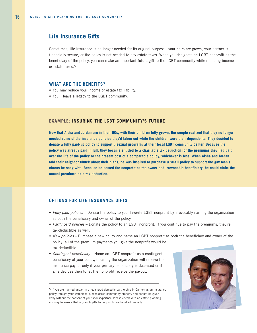## **Life Insurance Gifts**

Sometimes, life insurance is no longer needed for its original purpose—your heirs are grown, your partner is financially secure, or the policy is not needed to pay estate taxes. When you designate an LGBT nonprofit as the beneficiary of the policy, you can make an important future gift to the LGBT community while reducing income or estate taxes.5

### **WHAT ARE THE BENEFITS?**

- You may reduce your income or estate tax liability.
- You'll leave a legacy to the LGBT community.

### **EXAMPLE: INSURING THE LGBT COMMUNITY'S FUTURE**

**Now that Aisha and Jordan are in their 60s, with their children fully grown, the couple realized that they no longer needed some of the insurance policies they'd taken out while the children were their dependents. They decided to donate a fully paid-up policy to support bisexual programs at their local LGBT community center. Because the policy was already paid in full, they became entitled to a charitable tax deduction for the premiums they had paid over the life of the policy or the present cost of a comparable policy, whichever is less. When Aisha and Jordan told their neighbor Chuck about their plans, he was inspired to purchase a small policy to support the gay men's chorus he sang with. Because he named the nonprofit as the owner and irrevocable beneficiary, he could claim the annual premiums as a tax deduction.**

### **OPTIONS FOR LIFE INSURANCE GIFTS**

- Fully paid policies Donate the policy to your favorite LGBT nonprofit by irrevocably naming the organization as both the beneficiary and owner of the policy.
- Partly paid policies Donate the policy to an LGBT nonprofit. If you continue to pay the premiums, they're tax-deductible as well.
- New policies Purchase a new policy and name an LGBT nonprofit as both the beneficiary and owner of the policy; all of the premium payments you give the nonprofit would be tax-deductible.
- Contingent beneficiary Name an LGBT nonprofit as a contingent beneficiary of your policy, meaning the organization will receive the insurance payout only if your primary beneficiary is deceased or if s/he decides then to let the nonprofit receive the payout.

<sup>5</sup> If you are married and/or in a registered domestic partnership in California, an insurance policy through your workplace is considered community property and cannot be given away without the consent of your spouse/partner. Please check with an estate planning attorney to ensure that any such gifts to nonprofits are handled properly.

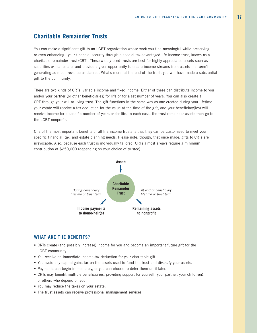## **Charitable Remainder Trusts**

You can make a significant gift to an LGBT organization whose work you find meaningful while preserving or even enhancing—your financial security through a special tax-advantaged life income trust, known as a charitable remainder trust (CRT). These widely used trusts are best for highly appreciated assets such as securities or real estate, and provide a great opportunity to create income streams from assets that aren't generating as much revenue as desired. What's more, at the end of the trust, you will have made a substantial gift to the community.

There are two kinds of CRTs: variable income and fixed income. Either of these can distribute income to you and/or your partner (or other beneficiaries) for life or for a set number of years. You can also create a CRT through your will or living trust. The gift functions in the same way as one created during your lifetime: your estate will receive a tax deduction for the value at the time of the gift, and your beneficiary(ies) will receive income for a specific number of years or for life. In each case, the trust remainder assets then go to the LGBT nonprofit.

One of the most important benefits of all life income trusts is that they can be customized to meet your specific financial, tax, and estate planning needs. Please note, though, that once made, gifts to CRTs are irrevocable. Also, because each trust is individually tailored, CRTs almost always require a minimum contribution of \$250,000 (depending on your choice of trustee).



### **WHAT ARE THE BENEFITS?**

- CRTs create (and possibly increase) income for you and become an important future gift for the LGBT community.
- You receive an immediate income-tax deduction for your charitable gift.
- You avoid any capital gains tax on the assets used to fund the trust and diversify your assets.
- Payments can begin immediately, or you can choose to defer them until later.
- CRTs may benefit multiple beneficiaries, providing support for yourself, your partner, your child(ren), or others who depend on you.
- You may reduce the taxes on your estate.
- The trust assets can receive professional management services.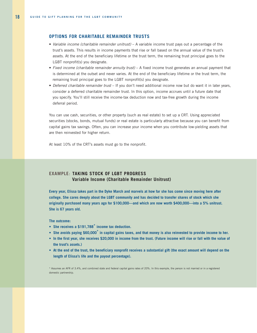#### **OPTIONS FOR CHARITABLE REMAINDER TRUSTS**

- Variable income (charitable remainder unitrust) A variable income trust pays out a percentage of the trust's assets. This results in income payments that rise or fall based on the annual value of the trust's assets. At the end of the beneficiary lifetime or the trust term, the remaining trust principal goes to the LGBT nonprofit(s) you designate.
- Fixed income (charitable remainder annuity trust) A fixed income trust generates an annual payment that is determined at the outset and never varies. At the end of the beneficiary lifetime or the trust term, the remaining trust principal goes to the LGBT nonprofit(s) you designate.
- Deferred charitable remainder trust If you don't need additional income now but do want it in later years, consider a deferred charitable remainder trust. In this option, income accrues until a future date that you specify. You'll still receive the income-tax deduction now and tax-free growth during the income deferral period.

You can use cash, securities, or other property (such as real estate) to set up a CRT. Using appreciated securities (stocks, bonds, mutual funds) or real estate is particularly attractive because you can benefit from capital gains tax savings. Often, you can increase your income when you contribute low-yielding assets that are then reinvested for higher return.

At least 10% of the CRT's assets must go to the nonprofit.

## **EXAMPLE**: **TAKING STOCK OF LGBT PROGRESS Variable Income (Charitable Remainder Unitrust)**

**Every year, Elissa takes part in the Dyke March and marvels at how far she has come since moving here after college. She cares deeply about the LGBT community and has decided to transfer shares of stock which she originally purchased many years ago for \$100,000—and which are now worth \$400,000—into a 5% unitrust. She is 67 years old.**

#### **The outcome:**

- **She receives a \$191,788\* income tax deduction.**
- **She avoids paying \$60,000\* in capital gains taxes, and that money is also reinvested to provide income to her.**
- **In the first year, she receives \$20,000 in income from the trust. (Future income will rise or fall with the value of the trust's assets.)**
- **At the end of the trust, the beneficiary nonprofit receives a substantial gift (the exact amount will depend on the length of Elissa's life and the payout percentage).**

\* Assumes an AFR of 3.4%, and combined state and federal capital gains rates of 20%. In this example, the person is not married or in a registered domestic partnership.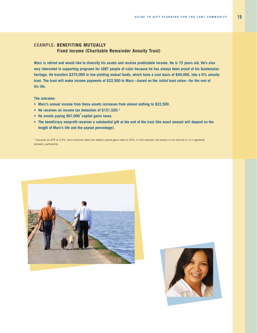## **EXAMPLE: BENEFITING MUTUALLY Fixed Income (Charitable Remainder Annuity Trust)**

**Marc is retired and would like to diversify his assets and receive predictable income. He is 72 years old. He's also very interested in supporting programs for LGBT people of color because he has always been proud of his Guatemalan heritage. He transfers \$375,000 in low-yielding mutual funds, which have a cost basis of \$40,000, into a 6% annuity trust. The trust will make income payments of \$22,500 to Marc—based on the initial trust value—for the rest of his life.**

**The outcome:**

- **Marc's annual income from these assets increases from almost nothing to \$22,500.**
- **He receives an income tax deduction of \$151,520.\***
- **He avoids paying \$67,000\*capital gains taxes.**
- **The beneficiary nonprofit receives a substantial gift at the end of the trust (the exact amount will depend on the length of Marc's life and the payout percentage).**

\* Assumes an AFR of 3.4%, and combined state and federal capital gains rates of 20%. In this example, the person is not married or in a registered domestic partnership.



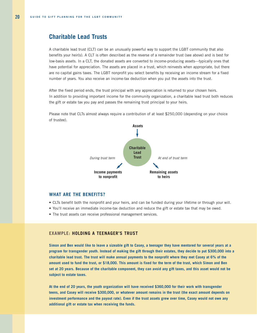## **Charitable Lead Trusts**

A charitable lead trust (CLT) can be an unusually powerful way to support the LGBT community that also benefits your heir(s). A CLT is often described as the reverse of a remainder trust (see above) and is best for low-basis assets. In a CLT, the donated assets are converted to income-producing assets—typically ones that have potential for appreciation. The assets are placed in a trust, which reinvests when appropriate, but there are no capital gains taxes. The LGBT nonprofit you select benefits by receiving an income stream for a fixed number of years. You also receive an income-tax deduction when you put the assets into the trust.

After the fixed period ends, the trust principal with any appreciation is returned to your chosen heirs. In addition to providing important income for the community organization, a charitable lead trust both reduces the gift or estate tax you pay and passes the remaining trust principal to your heirs.

Please note that CLTs almost always require a contribution of at least \$250,000 (depending on your choice of trustee).



### **WHAT ARE THE BENEFITS?**

- CLTs benefit both the nonprofit and your heirs, and can be funded during your lifetime or through your will.
- You'll receive an immediate income-tax deduction and reduce the gift or estate tax that may be owed.
- The trust assets can receive professional management services.

### **EXAMPLE: HOLDING A TEENAGER'S TRUST**

**Simon and Ben would like to leave a sizeable gift to Casey, a teenager they have mentored for several years at a program for transgender youth. Instead of making the gift through their estates, they decide to put \$300,000 into a charitable lead trust. The trust will make annual payments to the nonprofit where they met Casey at 6% of the amount used to fund the trust, or \$18,000. This amount is fixed for the term of the trust, which Simon and Ben set at 20 years. Because of the charitable component, they can avoid any gift taxes, and this asset would not be subject to estate taxes.** 

**At the end of 20 years, the youth organization will have received \$360,000 for their work with transgender teens, and Casey will receive \$300,000, or whatever amount remains in the trust (the exact amount depends on investment performance and the payout rate). Even if the trust assets grew over time, Casey would not owe any additional gift or estate tax when receiving the funds.**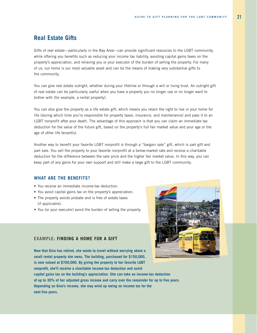## **Real Estate Gifts**

Gifts of real estate—particularly in the Bay Area—can provide significant resources to the LGBT community, while offering you benefits such as reducing your income tax liability, avoiding capital gains taxes on the property's appreciation, and relieving you or your executor of the burden of selling the property. For many of us, our home is our most valuable asset and can be the means of making very substantial gifts to the community.

You can give real estate outright, whether during your lifetime or through a will or living trust. An outright gift of real estate can be particularly useful when you have a property you no longer use or no longer want to bother with (for example, a rental property).

You can also give the property as a life estate gift, which means you retain the right to live in your home for life (during which time you're responsible for property taxes, insurance, and maintenance) and pass it to an LGBT nonprofit after your death. The advantage of this approach is that you can claim an immediate tax deduction for the value of the future gift, based on the property's full fair market value and your age or the age of other life tenant(s).

Another way to benefit your favorite LGBT nonprofit is through a "bargain sale" gift, which is part gift and part sale. You sell the property to your favorite nonprofit at a below-market rate and receive a charitable deduction for the difference between the sale price and the higher fair market value. In this way, you can keep part of any gains for your own support and still make a large gift to the LGBT community.

### **WHAT ARE THE BENEFITS?**

- You receive an immediate income-tax deduction.
- You avoid capital gains tax on the property's appreciation.
- The property avoids probate and is free of estate taxes (if applicable).
- You (or your executor) avoid the burden of selling the property.

### **EXAMPLE: FINDING A HOME FOR A GIFT**

**Now that Gina has retired, she wants to travel without worrying about a small rental property she owns. The building, purchased for \$150,000, is now valued at \$700,000. By giving the property to her favorite LGBT nonprofit, she'll receive a charitable income-tax deduction and avoid capital gains tax on the building's appreciation. She can take an income-tax deduction of up to 30% of her adjusted gross income and carry over the remainder for up to five years. Depending on Gina's income, she may wind up owing no income tax for the next five years.**

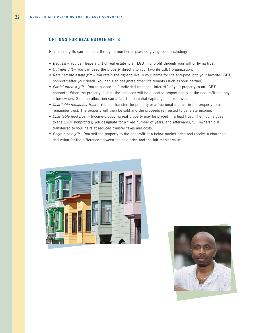## **OPTIONS FOR REAL ESTATE GIFTS**

Real estate gifts can be made through a number of planned-giving tools, including:

- Bequest You can leave a gift of real estate to an LGBT nonprofit through your will or living trust.
- Outright gift You can deed the property directly to your favorite LGBT organization.
- Retained life estate gift You retain the right to live in your home for life and pass it to your favorite LGBT nonprofit after your death. You can also designate other life tenants (such as your partner).
- Partial interest gift You may deed an "undivided fractional interest" of your property to an LGBT nonprofit. When the property is sold, the proceeds will be allocated proportionally to the nonprofit and any other owners. Such an allocation can affect the potential capital gains tax at sale.
- Charitable remainder trust You can transfer the property or a fractional interest in the property to a remainder trust. The property will then be sold and the proceeds reinvested to generate income.
- Charitable lead trust Income-producing real property may be placed in a lead trust. The income goes to the LGBT nonprofit(s) you designate for a fixed number of years, and afterwards, full ownership is transferred to your heirs at reduced transfer taxes and costs.
- Bargain sale gift You sell the property to the nonprofit at a below-market price and receive a charitable deduction for the difference between the sale price and the fair market value.



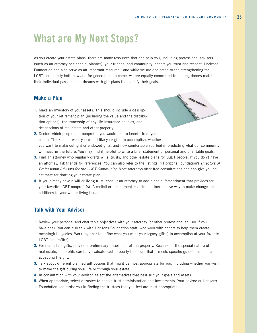## **What are My Next Steps?**

As you create your estate plans, there are many resources that can help you, including professional advisors (such as an attorney or financial planner), your friends, and community leaders you trust and respect. Horizons Foundation can also serve as an important resource—and while we are dedicated to the strengthening the LGBT community both now and for generations to come, we are equally committed to helping donors match their individual passions and dreams with gift plans that satisfy their goals.

## **Make a Plan**

**1.** Make an inventory of your assets. This should include a description of your retirement plan (including the value and the distribution options), the ownership of any life insurance policies, and descriptions of real estate and other property.



- **2.** Decide which people and nonprofits you would like to benefit from your estate. Think about what you would like your gifts to accomplish, whether you want to make outright or endowed gifts, and how comfortable you feel in predicting what our community will need in the future. You may find it helpful to write a brief statement of personal and charitable goals.
- **3.** Find an attorney who regularly drafts wills, trusts, and other estate plans for LGBT people. If you don't have an attorney, ask friends for references. You can also refer to the listings in Horizons Foundation's Directory of Professional Advisors for the LGBT Community. Most attorneys offer free consultations and can give you an estimate for drafting your estate plan.
- **4.** If you already have a will or living trust, consult an attorney to add a codicil/amendment that provides for your favorite LGBT nonprofit(s). A codicil or amendment is a simple, inexpensive way to make changes or additions to your will or living trust.

## **Talk with Your Advisor**

- **1.** Review your personal and charitable objectives with your attorney (or other professional advisor if you have one). You can also talk with Horizons Foundation staff, who work with donors to help them create meaningful legacies. Work together to define what you want your legacy gift(s) to accomplish at your favorite LGBT nonprofit(s).
- **2.** For real estate gifts, provide a preliminary description of the property. Because of the special nature of real estate, nonprofits carefully evaluate each property to ensure that it meets specific guidelines before accepting the gift.
- **3.** Talk about different planned gift options that might be most appropriate for you, including whether you wish to make the gift during your life or through your estate.
- **4.** In consultation with your advisor, select the alternatives that best suit your goals and assets.
- **5.** When appropriate, select a trustee to handle trust administration and investments. Your advisor or Horizons Foundation can assist you in finding the trustees that you feel are most appropriate.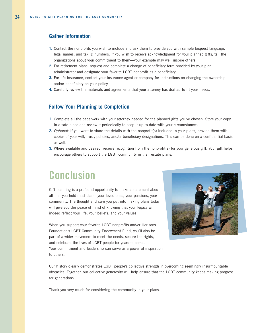## **Gather Information**

- **1.** Contact the nonprofits you wish to include and ask them to provide you with sample bequest language, legal names, and tax ID numbers. If you wish to receive acknowledgment for your planned gifts, tell the organizations about your commitment to them—your example may well inspire others.
- **2.** For retirement plans, request and complete a change of beneficiary form provided by your plan administrator and designate your favorite LGBT nonprofit as a beneficiary.
- **3.** For life insurance, contact your insurance agent or company for instructions on changing the ownership and/or beneficiary on your policy.
- **4.** Carefully review the materials and agreements that your attorney has drafted to fit your needs.

## **Follow Your Planning to Completion**

- **1.** Complete all the paperwork with your attorney needed for the planned gifts you've chosen. Store your copy in a safe place and review it periodically to keep it up-to-date with your circumstances.
- **2.** Optional: If you want to share the details with the nonprofit(s) included in your plans, provide them with copies of your will, trust, policies, and/or beneficiary designations. This can be done on a confidential basis as well.
- **3.** Where available and desired, receive recognition from the nonprofit(s) for your generous gift. Your gift helps encourage others to support the LGBT community in their estate plans.

## **Conclusion**

Gift planning is a profound opportunity to make a statement about all that you hold most dear—your loved ones, your passions, your community. The thought and care you put into making plans today will give you the peace of mind of knowing that your legacy will indeed reflect your life, your beliefs, and your values.

When you support your favorite LGBT nonprofits and/or Horizons Foundation's LGBT Community Endowment Fund, you'll also be part of a wider movement to meet the needs, secure the rights, and celebrate the lives of LGBT people for years to come. Your commitment and leadership can serve as a powerful inspiration to others.



Our history clearly demonstrates LGBT people's collective strength in overcoming seemingly insurmountable obstacles. Together, our collective generosity will help ensure that the LGBT community keeps making progress for generations.

Thank you very much for considering the community in your plans.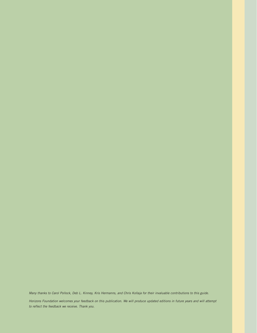Many thanks to Carol Pollock, Deb L. Kinney, Kris Hermanns, and Chris Kollaja for their invaluable contributions to this guide.

Horizons Foundation welcomes your feedback on this publication. We will produce updated editions in future years and will attempt to reflect the feedback we receive. Thank you.